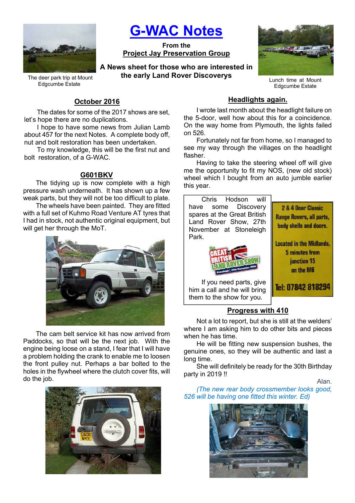

G-WAC Notes

From the Project Jay Preservation Group

A News sheet for those who are interested in the early Land Rover Discoverys



Lunch time at Mount Edgcumbe Estate

2 & 4 Door Classic

Tel: 07842 818294

### The deer park trip at Mount Edgcumbe Estate

# October 2016

The dates for some of the 2017 shows are set, let's hope there are no duplications.

I hope to have some news from Julian Lamb about 457 for the next Notes. A complete body off, nut and bolt restoration has been undertaken.

To my knowledge, this will be the first nut and bolt restoration, of a G-WAC.

## G601BKV

The tidying up is now complete with a high pressure wash underneath. It has shown up a few weak parts, but they will not be too difficult to plate.

The wheels have been painted. They are fitted with a full set of Kuhmo Road Venture AT tyres that I had in stock, not authentic original equipment, but will get her through the MoT.



The cam belt service kit has now arrived from Paddocks, so that will be the next job. With the engine being loose on a stand, I fear that I will have a problem holding the crank to enable me to loosen the front pulley nut. Perhaps a bar bolted to the holes in the flywheel where the clutch cover fits, will do the job.



## Headlights again.

I wrote last month about the headlight failure on the 5-door, well how about this for a coincidence. On the way home from Plymouth, the lights failed on 526.

Fortunately not far from home, so I managed to see my way through the villages on the headlight flasher.

Having to take the steering wheel off will give me the opportunity to fit my NOS, (new old stock) wheel which I bought from an auto jumble earlier this year.

Chris Hodson will have some Discovery spares at the Great British Land Rover Show, 27th November at Stoneleigh Park.



If you need parts, give him a call and he will bring them to the show for you.

# Progress with 410

Not a lot to report, but she is still at the welders' where I am asking him to do other bits and pieces when he has time.

He will be fitting new suspension bushes, the genuine ones, so they will be authentic and last a long time.

She will definitely be ready for the 30th Birthday party in 2019 !!

Alan.

(The new rear body crossmember looks good, 526 will be having one fitted this winter. Ed)

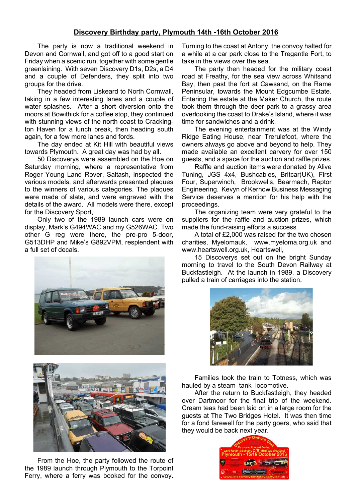## Discovery Birthday party, Plymouth 14th -16th October 2016

The party is now a traditional weekend in Devon and Cornwall, and got off to a good start on Friday when a scenic run, together with some gentle greenlaining. With seven Discovery D1s, D2s, a D4 and a couple of Defenders, they split into two groups for the drive.

They headed from Liskeard to North Cornwall, taking in a few interesting lanes and a couple of water splashes. After a short diversion onto the moors at Bowithick for a coffee stop, they continued with stunning views of the north coast to Crackington Haven for a lunch break, then heading south again, for a few more lanes and fords.

The day ended at Kit Hill with beautiful views towards Plymouth. A great day was had by all.

50 Discoverys were assembled on the Hoe on Saturday morning, where a representative from Roger Young Land Rover, Saltash, inspected the various models, and afterwards presented plaques to the winners of various categories. The plaques were made of slate, and were engraved with the details of the award. All models were there, except for the Discovery Sport,

Only two of the 1989 launch cars were on display, Mark's G494WAC and my G526WAC. Two other G reg were there, the pre-pro 5-door, G513DHP and Mike's G892VPM, resplendent with a full set of decals.





From the Hoe, the party followed the route of the 1989 launch through Plymouth to the Torpoint Ferry, where a ferry was booked for the convoy. Turning to the coast at Antony, the convoy halted for a while at a car park close to the Tregantle Fort, to take in the views over the sea.

The party then headed for the military coast road at Freathy, for the sea view across Whitsand Bay, then past the fort at Cawsand, on the Rame Peninsular, towards the Mount Edgcumbe Estate. Entering the estate at the Maker Church, the route took them through the deer park to a grassy area overlooking the coast to Drake's Island, where it was time for sandwiches and a drink.

The evening entertainment was at the Windy Ridge Eating House, near Trerulefoot, where the owners always go above and beyond to help. They made available an excellent carvery for over 150 guests, and a space for the auction and raffle prizes.

Raffle and auction items were donated by Alive Tuning, JGS 4x4, Bushcables, Britcar(UK), First Four, Superwinch, Brookwells, Bearmach, Raptor Engineering. Kevyn of Kernow Business Messaging Service deserves a mention for his help with the proceedings.

The organizing team were very grateful to the suppliers for the raffle and auction prizes, which made the fund-raising efforts a success.

A total of £2,000 was raised for the two chosen charities, Myelomauk, www.myeloma.org.uk and www.heartswell.org.uk, Heartswell,

15 Discoverys set out on the bright Sunday morning to travel to the South Devon Railway at Buckfastleigh. At the launch in 1989, a Discovery pulled a train of carriages into the station.



Families took the train to Totness, which was hauled by a steam tank locomotive.

After the return to Buckfastleigh, they headed over Dartmoor for the final trip of the weekend. Cream teas had been laid on in a large room for the guests at The Two Bridges Hotel. It was then time for a fond farewell for the party goers, who said that they would be back next year.

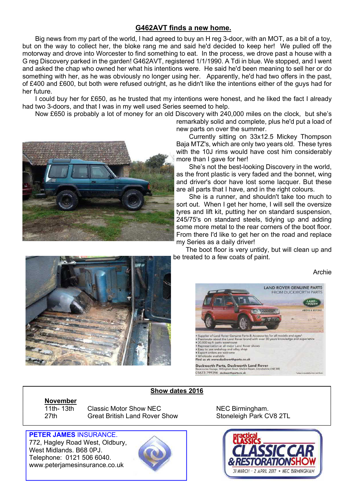# G462AVT finds a new home.

Big news from my part of the world, I had agreed to buy an H reg 3-door, with an MOT, as a bit of a toy, but on the way to collect her, the bloke rang me and said he'd decided to keep her! We pulled off the motorway and drove into Worcester to find something to eat. In the process, we drove past a house with a G reg Discovery parked in the garden! G462AVT, registered 1/1/1990. A Tdi in blue. We stopped, and I went and asked the chap who owned her what his intentions were. He said he'd been meaning to sell her or do something with her, as he was obviously no longer using her. Apparently, he'd had two offers in the past, of £400 and £600, but both were refused outright, as he didn't like the intentions either of the guys had for her future.

I could buy her for £650, as he trusted that my intentions were honest, and he liked the fact I already had two 3-doors, and that I was in my well used Series seemed to help.

Now £650 is probably a lot of money for an old Discovery with 240,000 miles on the clock, but she's



remarkably solid and complete, plus he'd put a load of new parts on over the summer.

Currently sitting on 33x12.5 Mickey Thompson Baja MTZ's, which are only two years old. These tyres with the 10J rims would have cost him considerably more than I gave for her!

She's not the best-looking Discovery in the world, as the front plastic is very faded and the bonnet, wing and driver's door have lost some lacquer. But these are all parts that I have, and in the right colours.

She is a runner, and shouldn't take too much to sort out. When I get her home, I will sell the oversize tyres and lift kit, putting her on standard suspension, 245/75's on standard steels, tidying up and adding some more metal to the rear corners of the boot floor. From there I'd like to get her on the road and replace my Series as a daily driver!

The boot floor is very untidy, but will clean up and be treated to a few coats of paint.

Archie





## Show dates 2016

November<br>11th-13th

Classic Motor Show NEC NEC NEC Birmingham. 27th Great British Land Rover Show Stoneleigh Park CV8 2TL



PETER JAMES INSURANCE. 772, Hagley Road West, Oldbury, West Midlands. B68 0PJ. Telephone: 0121 506 6040. www.peterjamesinsurance.co.uk